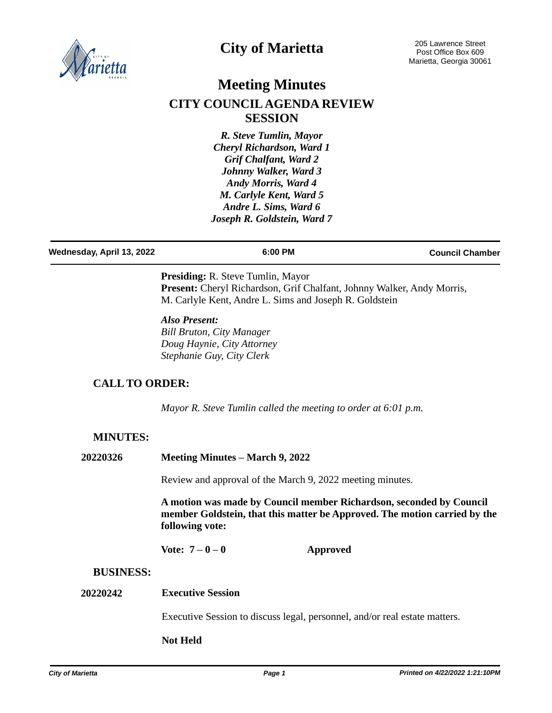

## **City of Marietta**

# **Meeting Minutes CITY COUNCIL AGENDA REVIEW SESSION**

*R. Steve Tumlin, Mayor Cheryl Richardson, Ward 1 Grif Chalfant, Ward 2 Johnny Walker, Ward 3 Andy Morris, Ward 4 M. Carlyle Kent, Ward 5 Andre L. Sims, Ward 6 Joseph R. Goldstein, Ward 7*

| Wednesday, April 13, 2022 | 6:00 PM | <b>Council Chamber</b> |
|---------------------------|---------|------------------------|
|                           |         |                        |

**Presiding:** R. Steve Tumlin, Mayor Present: Cheryl Richardson, Grif Chalfant, Johnny Walker, Andy Morris, M. Carlyle Kent, Andre L. Sims and Joseph R. Goldstein

#### *Also Present: Bill Bruton, City Manager Doug Haynie, City Attorney Stephanie Guy, City Clerk*

## **CALL TO ORDER:**

*Mayor R. Steve Tumlin called the meeting to order at 6:01 p.m.*

## **MINUTES:**

| 20220326 | Meeting Minutes – March 9, 2022 |  |
|----------|---------------------------------|--|
|          |                                 |  |

Review and approval of the March 9, 2022 meeting minutes.

**A motion was made by Council member Richardson, seconded by Council member Goldstein, that this matter be Approved. The motion carried by the following vote:**

**Vote: 7 – 0 – 0 Approved**

#### **BUSINESS:**

#### **20220242 Executive Session**

Executive Session to discuss legal, personnel, and/or real estate matters.

#### **Not Held**